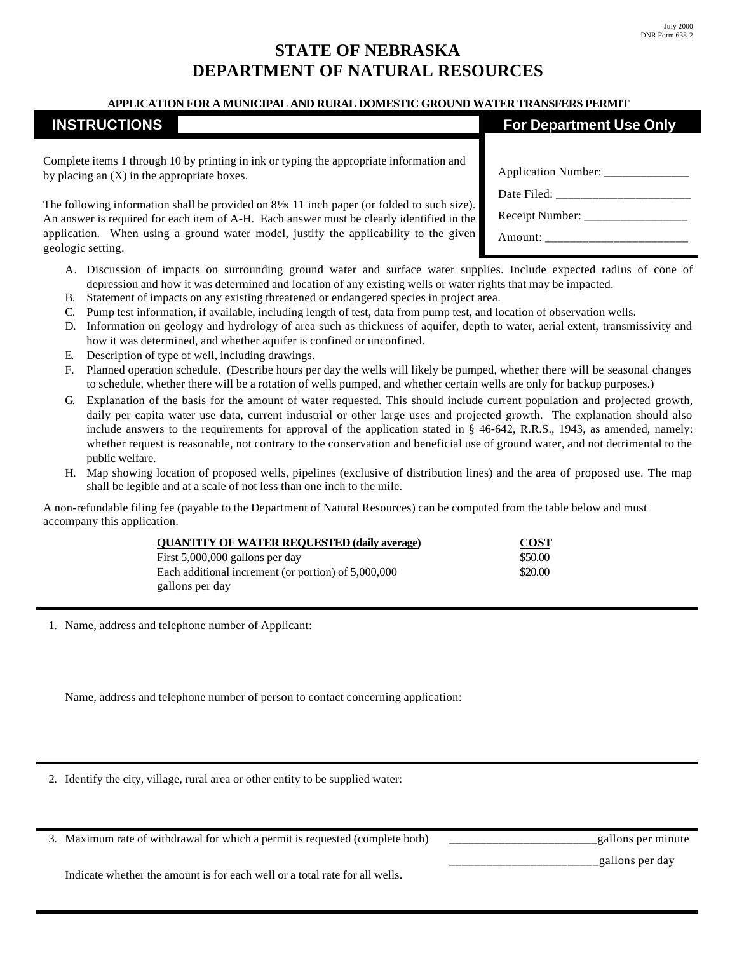## **STATE OF NEBRASKA DEPARTMENT OF NATURAL RESOURCES**

## **APPLICATION FOR A MUNICIPAL AND RURAL DOMESTIC GROUND WATER TRANSFERS PERMIT**

## **INSTRUCTIONS**

Complete items 1 through 10 by printing in ink or typing the appropriate information and by placing an (X) in the appropriate boxes.

The following information shall be provided on  $8\frac{1}{x}$  11 inch paper (or folded to such size). An answer is required for each item of A-H. Each answer must be clearly identified in the application. When using a ground water model, justify the applicability to the given geologic setting.

- A. Discussion of impacts on surrounding ground water and surface water supplies. Include expected radius of cone of depression and how it was determined and location of any existing wells or water rights that may be impacted.
- B. Statement of impacts on any existing threatened or endangered species in project area.
- C. Pump test information, if available, including length of test, data from pump test, and location of observation wells.
- D. Information on geology and hydrology of area such as thickness of aquifer, depth to water, aerial extent, transmissivity and how it was determined, and whether aquifer is confined or unconfined.
- E. Description of type of well, including drawings.
- F. Planned operation schedule. (Describe hours per day the wells will likely be pumped, whether there will be seasonal changes to schedule, whether there will be a rotation of wells pumped, and whether certain wells are only for backup purposes.)
- G. Explanation of the basis for the amount of water requested. This should include current population and projected growth, daily per capita water use data, current industrial or other large uses and projected growth. The explanation should also include answers to the requirements for approval of the application stated in § 46-642, R.R.S., 1943, as amended, namely: whether request is reasonable, not contrary to the conservation and beneficial use of ground water, and not detrimental to the public welfare.
- H. Map showing location of proposed wells, pipelines (exclusive of distribution lines) and the area of proposed use. The map shall be legible and at a scale of not less than one inch to the mile.

A non-refundable filing fee (payable to the Department of Natural Resources) can be computed from the table below and must accompany this application.

| <b>OUANTITY OF WATER REQUESTED (daily average)</b>  | <b>COST</b> |  |
|-----------------------------------------------------|-------------|--|
| First $5,000,000$ gallons per day                   | \$50.00     |  |
| Each additional increment (or portion) of 5,000,000 | \$20.00     |  |
| gallons per day                                     |             |  |

1. Name, address and telephone number of Applicant:

Name, address and telephone number of person to contact concerning application:

2. Identify the city, village, rural area or other entity to be supplied water:

3. Maximum rate of withdrawal for which a permit is requested (complete both) \_\_\_\_\_\_\_\_\_\_\_\_\_\_\_\_\_\_\_\_\_\_\_\_gallons per minute

Indicate whether the amount is for each well or a total rate for all wells.

| <b>For Department Use Only</b> |
|--------------------------------|
|                                |

| Receipt Number: |
|-----------------|
| Amount:         |

\_\_\_\_\_\_\_\_\_\_\_\_\_\_\_\_\_\_\_\_\_\_\_\_gallons per day